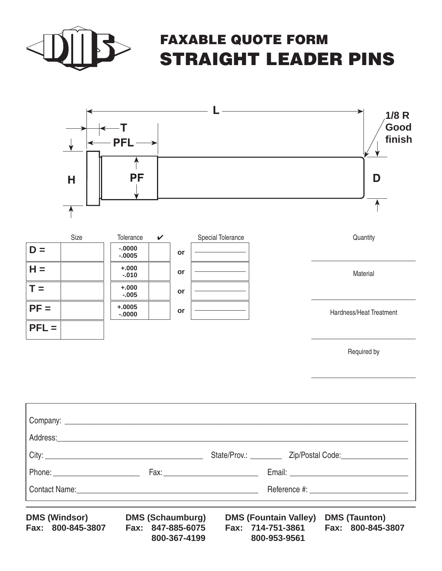

**PFL =**

 $L = \n\begin{vmatrix}\n+0.010 \\
+0.010\n\end{vmatrix}$ 

**-.000**

## FAXABLE QUOTE FORM STRAIGHT LEADER PINS



Hardness/Heat Treatment

Required by

|  | State/Prov.: __________ Zip/Postal Code: __________________ |
|--|-------------------------------------------------------------|
|  |                                                             |
|  | Reference #: <u>____________________________</u>            |

**DMS (Windsor) Fax: 800-845-3807 DMS (Elk Grove Village, IL) Fax: 847-885-6075 800-367-4199**